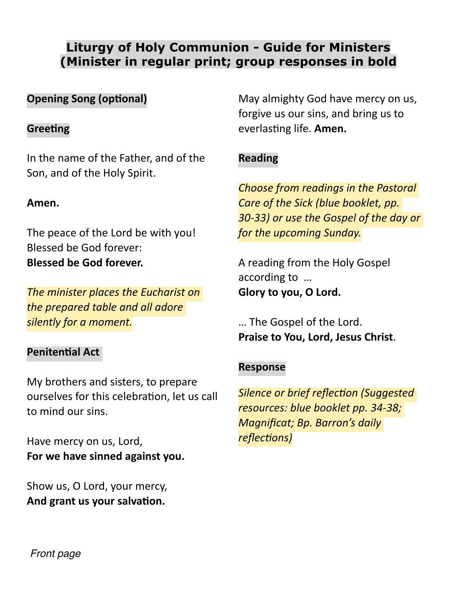# **Liturgy of Holy Communion - Guide for Ministers (Minister in regular print; group responses in bold**

# **Opening Song (optional)**

## **Greeting**

In the name of the Father, and of the Son, and of the Holy Spirit.

## **Amen.**

The peace of the Lord be with you! Blessed be God forever: **Blessed be God forever.**

*The minister places the Eucharist on the prepared table and all adore silently for a moment.*

## **Penitential Act**

My brothers and sisters, to prepare ourselves for this celebration, let us call to mind our sins.

Have mercy on us, Lord, **For we have sinned against you.**

Show us, O Lord, your mercy, **And grant us your salvation.**

May almighty God have mercy on us, forgive us our sins, and bring us to everlasting life. **Amen.**

# **Reading**

*Choose from readings in the Pastoral Care of the Sick (blue booklet, pp. 30-33) or use the Gospel of the day or for the upcoming Sunday.*

A reading from the Holy Gospel according to … **Glory to you, O Lord.**

… The Gospel of the Lord. **Praise to You, Lord, Jesus Christ**.

## **Response**

*Silence or brief reflection (Suggested resources: blue booklet pp. 34-38; Magnificat; Bp. Barron's daily reflections)*

*Front page*